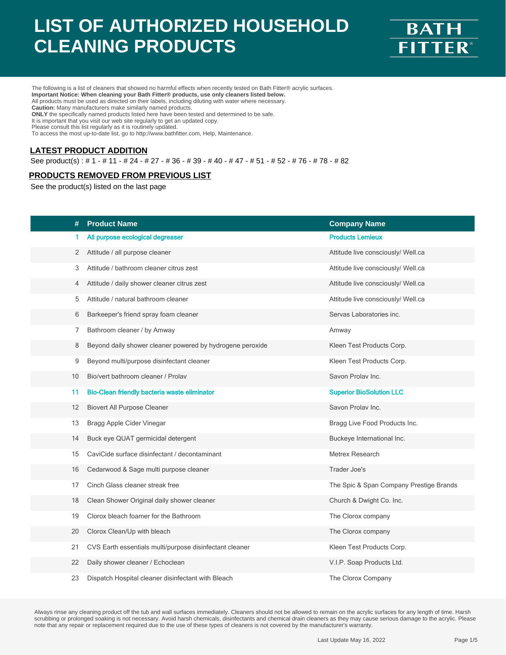

The following is a list of cleaners that showed no harmful effects when recently tested on Bath Fitter® acrylic surfaces. **Important Notice: When cleaning your Bath Fitter® products, use only cleaners listed below.** All products must be used as directed on their labels, including diluting with water where necessary. **Caution:** Many manufacturers make similarly named products. **ONLY** the specifically named products listed here have been tested and determined to be safe. It is important that you visit our web site regularly to get an updated copy. Please consult this list regularly as it is routinely updated.

To access the most up-to-date list, go to http://www.bathfitter.com, Help, Maintenance.

#### **LATEST PRODUCT ADDITION**

See product(s) : # 1 - # 11 - # 24 - # 27 - # 36 - # 39 - # 40 - # 47 - # 51 - # 52 - # 76 - # 78 - # 82

#### **PRODUCTS REMOVED FROM PREVIOUS LIST**

See the product(s) listed on the last page

| #  | <b>Product Name</b>                                       |                                         |
|----|-----------------------------------------------------------|-----------------------------------------|
|    |                                                           | <b>Company Name</b>                     |
| 1  | All purpose ecological degreaser                          | <b>Products Lemieux</b>                 |
| 2  | Attitude / all purpose cleaner                            | Attitude live consciously/ Well.ca      |
| 3  | Attitude / bathroom cleaner citrus zest                   | Attitude live consciously/ Well.ca      |
| 4  | Attitude / daily shower cleaner citrus zest               | Attitude live consciously/ Well.ca      |
| 5  | Attitude / natural bathroom cleaner                       | Attitude live consciously/ Well.ca      |
| 6  | Barkeeper's friend spray foam cleaner                     | Servas Laboratories inc.                |
| 7  | Bathroom cleaner / by Amway                               | Amway                                   |
| 8  | Beyond daily shower cleaner powered by hydrogene peroxide | Kleen Test Products Corp.               |
| 9  | Beyond multi/purpose disinfectant cleaner                 | Kleen Test Products Corp.               |
| 10 | Bio/vert bathroom cleaner / Prolav                        | Savon Prolav Inc.                       |
| 11 | Bio-Clean friendly bacteria waste eliminator              | <b>Superior BioSolution LLC</b>         |
| 12 | <b>Biovert All Purpose Cleaner</b>                        | Savon Prolav Inc.                       |
| 13 | Bragg Apple Cider Vinegar                                 | Bragg Live Food Products Inc.           |
| 14 | Buck eye QUAT germicidal detergent                        | Buckeye International Inc.              |
| 15 | CaviCide surface disinfectant / decontaminant             | Metrex Research                         |
| 16 | Cedarwood & Sage multi purpose cleaner                    | Trader Joe's                            |
| 17 | Cinch Glass cleaner streak free                           | The Spic & Span Company Prestige Brands |
| 18 | Clean Shower Original daily shower cleaner                | Church & Dwight Co. Inc.                |
| 19 | Clorox bleach foamer for the Bathroom                     | The Clorox company                      |
| 20 | Clorox Clean/Up with bleach                               | The Clorox company                      |
| 21 | CVS Earth essentials multi/purpose disinfectant cleaner   | Kleen Test Products Corp.               |
| 22 | Daily shower cleaner / Echoclean                          | V.I.P. Soap Products Ltd.               |
| 23 | Dispatch Hospital cleaner disinfectant with Bleach        | The Clorox Company                      |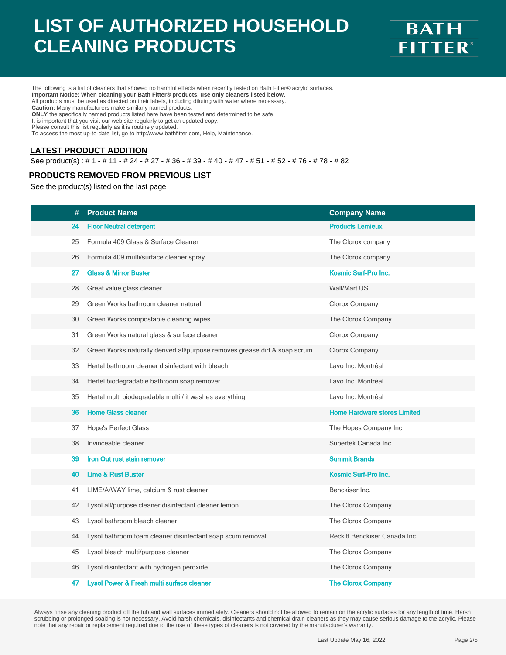

The following is a list of cleaners that showed no harmful effects when recently tested on Bath Fitter® acrylic surfaces. **Important Notice: When cleaning your Bath Fitter® products, use only cleaners listed below.** All products must be used as directed on their labels, including diluting with water where necessary. **Caution:** Many manufacturers make similarly named products. **ONLY** the specifically named products listed here have been tested and determined to be safe. It is important that you visit our web site regularly to get an updated copy. Please consult this list regularly as it is routinely updated.

To access the most up-to-date list, go to http://www.bathfitter.com, Help, Maintenance.

#### **LATEST PRODUCT ADDITION**

See product(s) : # 1 - # 11 - # 24 - # 27 - # 36 - # 39 - # 40 - # 47 - # 51 - # 52 - # 76 - # 78 - # 82

#### **PRODUCTS REMOVED FROM PREVIOUS LIST**

See the product(s) listed on the last page

| #  | <b>Product Name</b>                                                        | <b>Company Name</b>                 |
|----|----------------------------------------------------------------------------|-------------------------------------|
| 24 | <b>Floor Neutral detergent</b>                                             | <b>Products Lemieux</b>             |
| 25 | Formula 409 Glass & Surface Cleaner                                        | The Clorox company                  |
| 26 | Formula 409 multi/surface cleaner spray                                    | The Clorox company                  |
| 27 | <b>Glass &amp; Mirror Buster</b>                                           | <b>Kosmic Surf-Pro Inc.</b>         |
| 28 | Great value glass cleaner                                                  | Wall/Mart US                        |
| 29 | Green Works bathroom cleaner natural                                       | Clorox Company                      |
| 30 | Green Works compostable cleaning wipes                                     | The Clorox Company                  |
| 31 | Green Works natural glass & surface cleaner                                | Clorox Company                      |
| 32 | Green Works naturally derived all/purpose removes grease dirt & soap scrum | Clorox Company                      |
| 33 | Hertel bathroom cleaner disinfectant with bleach                           | Lavo Inc. Montréal                  |
| 34 | Hertel biodegradable bathroom soap remover                                 | Lavo Inc. Montréal                  |
| 35 | Hertel multi biodegradable multi / it washes everything                    | Lavo Inc. Montréal                  |
| 36 | <b>Home Glass cleaner</b>                                                  | <b>Home Hardware stores Limited</b> |
| 37 | <b>Hope's Perfect Glass</b>                                                | The Hopes Company Inc.              |
| 38 | Invinceable cleaner                                                        | Supertek Canada Inc.                |
| 39 | Iron Out rust stain remover                                                | <b>Summit Brands</b>                |
| 40 | <b>Lime &amp; Rust Buster</b>                                              | Kosmic Surf-Pro Inc.                |
| 41 | LIME/A/WAY lime, calcium & rust cleaner                                    | Benckiser Inc.                      |
| 42 | Lysol all/purpose cleaner disinfectant cleaner lemon                       | The Clorox Company                  |
| 43 | Lysol bathroom bleach cleaner                                              | The Clorox Company                  |
| 44 | Lysol bathroom foam cleaner disinfectant soap scum removal                 | Reckitt Benckiser Canada Inc.       |
| 45 | Lysol bleach multi/purpose cleaner                                         | The Clorox Company                  |
| 46 | Lysol disinfectant with hydrogen peroxide                                  | The Clorox Company                  |
| 47 | Lysol Power & Fresh multi surface cleaner                                  | <b>The Clorox Company</b>           |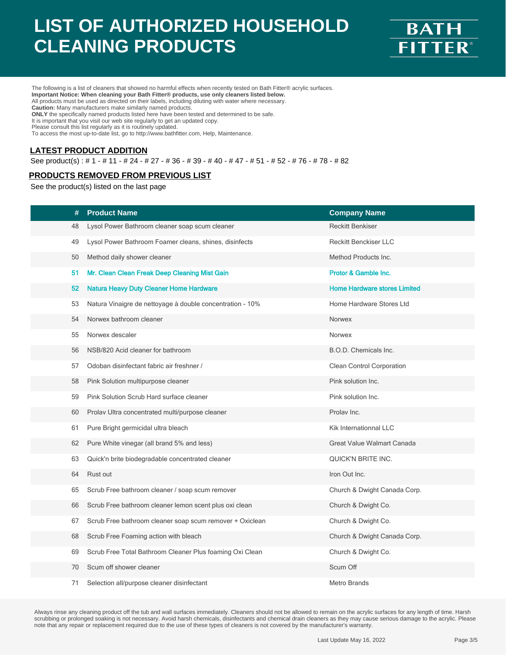

The following is a list of cleaners that showed no harmful effects when recently tested on Bath Fitter® acrylic surfaces. **Important Notice: When cleaning your Bath Fitter® products, use only cleaners listed below.** All products must be used as directed on their labels, including diluting with water where necessary. **Caution:** Many manufacturers make similarly named products. **ONLY** the specifically named products listed here have been tested and determined to be safe. It is important that you visit our web site regularly to get an updated copy. Please consult this list regularly as it is routinely updated.

To access the most up-to-date list, go to http://www.bathfitter.com, Help, Maintenance.

#### **LATEST PRODUCT ADDITION**

See product(s) : # 1 - # 11 - # 24 - # 27 - # 36 - # 39 - # 40 - # 47 - # 51 - # 52 - # 76 - # 78 - # 82

#### **PRODUCTS REMOVED FROM PREVIOUS LIST**

See the product(s) listed on the last page

| <b>Product Name</b><br>#                                        | <b>Company Name</b>                 |
|-----------------------------------------------------------------|-------------------------------------|
| Lysol Power Bathroom cleaner soap scum cleaner<br>48            | <b>Reckitt Benkiser</b>             |
| 49<br>Lysol Power Bathroom Foamer cleans, shines, disinfects    | <b>Reckitt Benckiser LLC</b>        |
| Method daily shower cleaner<br>50                               | Method Products Inc.                |
| Mr. Clean Clean Freak Deep Cleaning Mist Gain<br>51             | Protor & Gamble Inc.                |
| <b>Natura Heavy Duty Cleaner Home Hardware</b><br>52            | <b>Home Hardware stores Limited</b> |
| 53<br>Natura Vinaigre de nettoyage à double concentration - 10% | Home Hardware Stores Ltd            |
| Norwex bathroom cleaner<br>54                                   | Norwex                              |
| 55<br>Norwex descaler                                           | Norwex                              |
| NSB/820 Acid cleaner for bathroom<br>56                         | B.O.D. Chemicals Inc.               |
| Odoban disinfectant fabric air freshner /<br>57                 | Clean Control Corporation           |
| 58<br>Pink Solution multipurpose cleaner                        | Pink solution Inc.                  |
| Pink Solution Scrub Hard surface cleaner<br>59                  | Pink solution Inc.                  |
| 60<br>Prolav Ultra concentrated multi/purpose cleaner           | Prolav Inc.                         |
| Pure Bright germicidal ultra bleach<br>61                       | Kik Internationnal LLC              |
| 62<br>Pure White vinegar (all brand 5% and less)                | Great Value Walmart Canada          |
| 63<br>Quick'n brite biodegradable concentrated cleaner          | QUICK'N BRITE INC.                  |
| 64<br>Rust out                                                  | Iron Out Inc.                       |
| Scrub Free bathroom cleaner / soap scum remover<br>65           | Church & Dwight Canada Corp.        |
| Scrub Free bathroom cleaner lemon scent plus oxi clean<br>66    | Church & Dwight Co.                 |
| Scrub Free bathroom cleaner soap scum remover + Oxiclean<br>67  | Church & Dwight Co.                 |
| 68<br>Scrub Free Foaming action with bleach                     | Church & Dwight Canada Corp.        |
| 69<br>Scrub Free Total Bathroom Cleaner Plus foaming Oxi Clean  | Church & Dwight Co.                 |
| Scum off shower cleaner<br>70                                   | Scum Off                            |
| 71<br>Selection all/purpose cleaner disinfectant                | <b>Metro Brands</b>                 |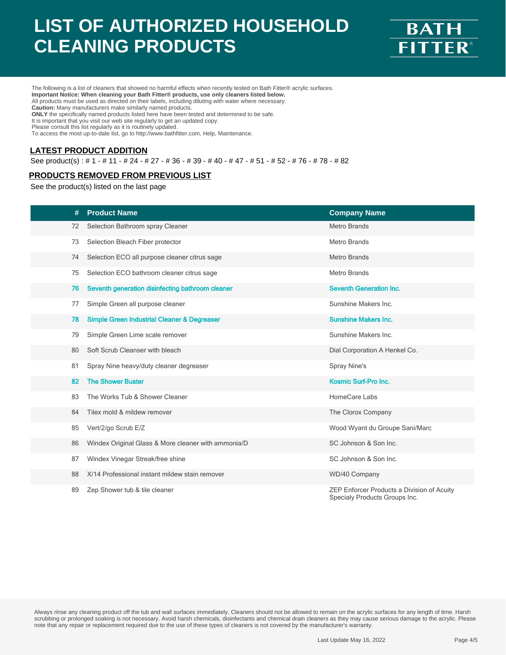

The following is a list of cleaners that showed no harmful effects when recently tested on Bath Fitter® acrylic surfaces. **Important Notice: When cleaning your Bath Fitter® products, use only cleaners listed below.** All products must be used as directed on their labels, including diluting with water where necessary. **Caution:** Many manufacturers make similarly named products. **ONLY** the specifically named products listed here have been tested and determined to be safe. It is important that you visit our web site regularly to get an updated copy. Please consult this list regularly as it is routinely updated.

To access the most up-to-date list, go to http://www.bathfitter.com, Help, Maintenance.

#### **LATEST PRODUCT ADDITION**

See product(s) : # 1 - # 11 - # 24 - # 27 - # 36 - # 39 - # 40 - # 47 - # 51 - # 52 - # 76 - # 78 - # 82

#### **PRODUCTS REMOVED FROM PREVIOUS LIST**

See the product(s) listed on the last page

| #  | <b>Product Name</b>                                    | <b>Company Name</b>                                                         |
|----|--------------------------------------------------------|-----------------------------------------------------------------------------|
| 72 | Selection Bathroom spray Cleaner                       | <b>Metro Brands</b>                                                         |
| 73 | Selection Bleach Fiber protector                       | <b>Metro Brands</b>                                                         |
| 74 | Selection ECO all purpose cleaner citrus sage          | <b>Metro Brands</b>                                                         |
| 75 | Selection ECO bathroom cleaner citrus sage             | <b>Metro Brands</b>                                                         |
| 76 | Seventh generation disinfecting bathroom cleaner       | <b>Seventh Generation Inc.</b>                                              |
| 77 | Simple Green all purpose cleaner                       | Sunshine Makers Inc.                                                        |
| 78 | <b>Simple Green Industrial Cleaner &amp; Degreaser</b> | <b>Sunshine Makers Inc.</b>                                                 |
| 79 | Simple Green Lime scale remover                        | Sunshine Makers Inc.                                                        |
| 80 | Soft Scrub Cleanser with bleach                        | Dial Corporation A Henkel Co.                                               |
| 81 | Spray Nine heavy/duty cleaner degreaser                | Spray Nine's                                                                |
| 82 | <b>The Shower Buster</b>                               | Kosmic Surf-Pro Inc.                                                        |
| 83 | The Works Tub & Shower Cleaner                         | HomeCare Labs                                                               |
| 84 | Tilex mold & mildew remover                            | The Clorox Company                                                          |
| 85 | Vert/2/go Scrub E/Z                                    | Wood Wyant du Groupe Sani/Marc                                              |
| 86 | Windex Original Glass & More cleaner with ammonia/D    | SC Johnson & Son Inc.                                                       |
| 87 | Windex Vinegar Streak/free shine                       | SC Johnson & Son Inc.                                                       |
| 88 | X/14 Professional instant mildew stain remover         | WD/40 Company                                                               |
| 89 | Zep Shower tub & tile cleaner                          | ZEP Enforcer Products a Division of Acuity<br>Specialy Products Groups Inc. |